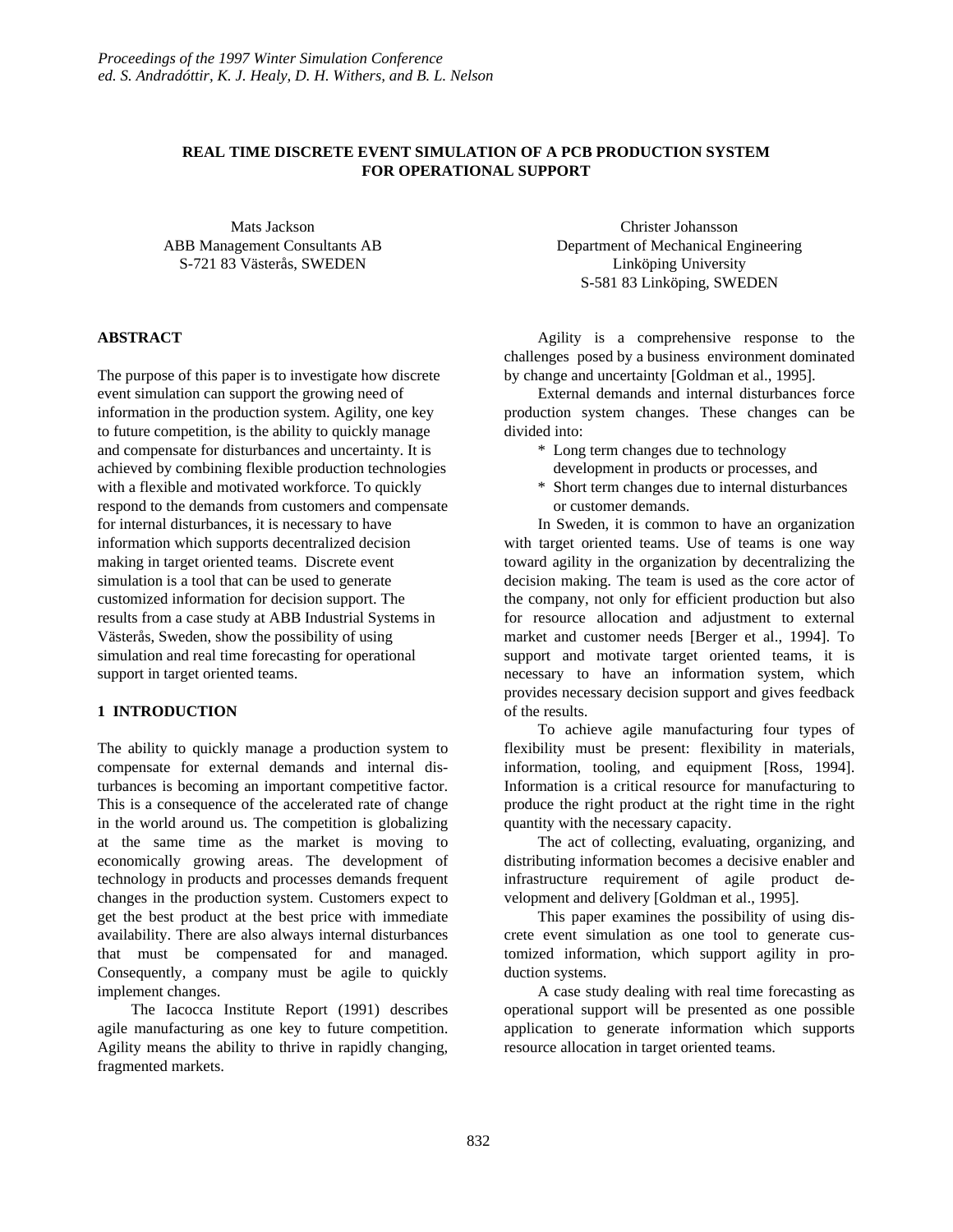# **REAL TIME DISCRETE EVENT SIMULATION OF A PCB PRODUCTION SYSTEM FOR OPERATIONAL SUPPORT**

Mats Jackson ABB Management Consultants AB S-721 83 Västerås, SWEDEN

### **ABSTRACT**

The purpose of this paper is to investigate how discrete event simulation can support the growing need of information in the production system. Agility, one key to future competition, is the ability to quickly manage and compensate for disturbances and uncertainty. It is achieved by combining flexible production technologies with a flexible and motivated workforce. To quickly respond to the demands from customers and compensate for internal disturbances, it is necessary to have information which supports decentralized decision making in target oriented teams. Discrete event simulation is a tool that can be used to generate customized information for decision support. The results from a case study at ABB Industrial Systems in Västerås, Sweden, show the possibility of using simulation and real time forecasting for operational support in target oriented teams.

## **1 INTRODUCTION**

The ability to quickly manage a production system to compensate for external demands and internal disturbances is becoming an important competitive factor. This is a consequence of the accelerated rate of change in the world around us. The competition is globalizing at the same time as the market is moving to economically growing areas. The development of technology in products and processes demands frequent changes in the production system. Customers expect to get the best product at the best price with immediate availability. There are also always internal disturbances that must be compensated for and managed. Consequently, a company must be agile to quickly implement changes.

The Iacocca Institute Report (1991) describes agile manufacturing as one key to future competition. Agility means the ability to thrive in rapidly changing, fragmented markets.

Christer Johansson Department of Mechanical Engineering Linköping University S-581 83 Linköping, SWEDEN

Agility is a comprehensive response to the challenges posed by a business environment dominated by change and uncertainty [Goldman et al., 1995].

External demands and internal disturbances force production system changes. These changes can be divided into:

- \* Long term changes due to technology
	- development in products or processes, and
- \* Short term changes due to internal disturbances or customer demands.

In Sweden, it is common to have an organization with target oriented teams. Use of teams is one way toward agility in the organization by decentralizing the decision making. The team is used as the core actor of the company, not only for efficient production but also for resource allocation and adjustment to external market and customer needs [Berger et al., 1994]. To support and motivate target oriented teams, it is necessary to have an information system, which provides necessary decision support and gives feedback of the results.

To achieve agile manufacturing four types of flexibility must be present: flexibility in materials, information, tooling, and equipment [Ross, 1994]. Information is a critical resource for manufacturing to produce the right product at the right time in the right quantity with the necessary capacity.

The act of collecting, evaluating, organizing, and distributing information becomes a decisive enabler and infrastructure requirement of agile product development and delivery [Goldman et al., 1995].

This paper examines the possibility of using discrete event simulation as one tool to generate customized information, which support agility in production systems.

A case study dealing with real time forecasting as operational support will be presented as one possible application to generate information which supports resource allocation in target oriented teams.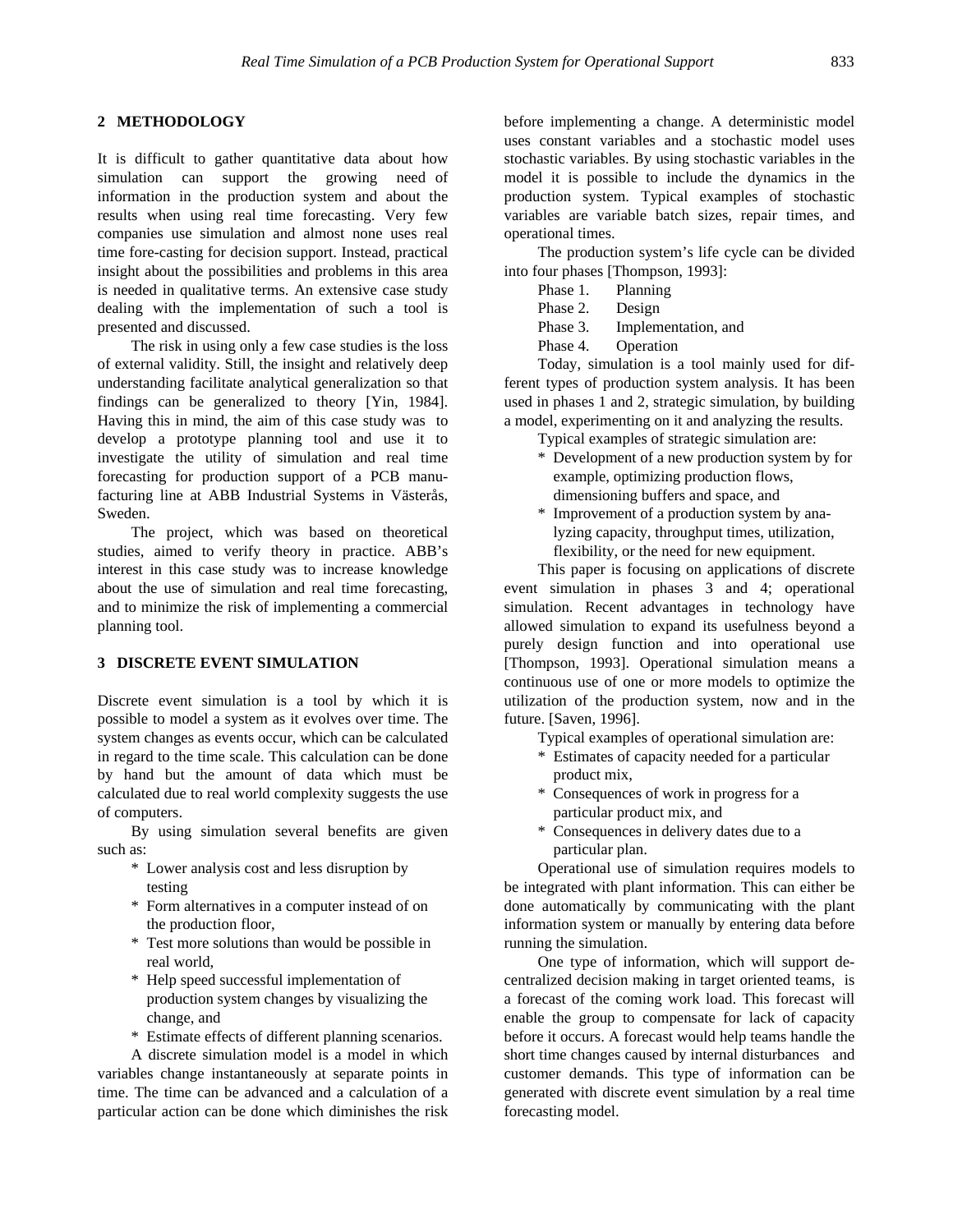# **2 METHODOLOGY**

It is difficult to gather quantitative data about how simulation can support the growing need of information in the production system and about the results when using real time forecasting. Very few companies use simulation and almost none uses real time fore-casting for decision support. Instead, practical insight about the possibilities and problems in this area is needed in qualitative terms. An extensive case study dealing with the implementation of such a tool is presented and discussed.

The risk in using only a few case studies is the loss of external validity. Still, the insight and relatively deep understanding facilitate analytical generalization so that findings can be generalized to theory [Yin, 1984]. Having this in mind, the aim of this case study was to develop a prototype planning tool and use it to investigate the utility of simulation and real time forecasting for production support of a PCB manufacturing line at ABB Industrial Systems in Västerås, Sweden.

The project, which was based on theoretical studies, aimed to verify theory in practice. ABB's interest in this case study was to increase knowledge about the use of simulation and real time forecasting, and to minimize the risk of implementing a commercial planning tool.

# **3 DISCRETE EVENT SIMULATION**

Discrete event simulation is a tool by which it is possible to model a system as it evolves over time. The system changes as events occur, which can be calculated in regard to the time scale. This calculation can be done by hand but the amount of data which must be calculated due to real world complexity suggests the use of computers.

By using simulation several benefits are given such as:

- \* Lower analysis cost and less disruption by testing
- \* Form alternatives in a computer instead of on the production floor,
- \* Test more solutions than would be possible in real world,
- \* Help speed successful implementation of production system changes by visualizing the change, and
- \* Estimate effects of different planning scenarios.

A discrete simulation model is a model in which variables change instantaneously at separate points in time. The time can be advanced and a calculation of a particular action can be done which diminishes the risk before implementing a change. A deterministic model uses constant variables and a stochastic model uses stochastic variables. By using stochastic variables in the model it is possible to include the dynamics in the production system. Typical examples of stochastic variables are variable batch sizes, repair times, and operational times.

The production system's life cycle can be divided into four phases [Thompson, 1993]:

- Phase 1. Planning
- Phase 2. Design
- Phase 3. Implementation, and
- Phase 4. Operation

Today, simulation is a tool mainly used for different types of production system analysis. It has been used in phases 1 and 2, strategic simulation, by building a model, experimenting on it and analyzing the results.

- Typical examples of strategic simulation are:
- \* Development of a new production system by for example, optimizing production flows, dimensioning buffers and space, and
- \* Improvement of a production system by analyzing capacity, throughput times, utilization, flexibility, or the need for new equipment.

This paper is focusing on applications of discrete event simulation in phases 3 and 4; operational simulation. Recent advantages in technology have allowed simulation to expand its usefulness beyond a purely design function and into operational use [Thompson, 1993]. Operational simulation means a continuous use of one or more models to optimize the utilization of the production system, now and in the future. [Saven, 1996].

Typical examples of operational simulation are:

- \* Estimates of capacity needed for a particular product mix,
- \* Consequences of work in progress for a particular product mix, and
- \* Consequences in delivery dates due to a particular plan.

Operational use of simulation requires models to be integrated with plant information. This can either be done automatically by communicating with the plant information system or manually by entering data before running the simulation.

One type of information, which will support decentralized decision making in target oriented teams, is a forecast of the coming work load. This forecast will enable the group to compensate for lack of capacity before it occurs. A forecast would help teams handle the short time changes caused by internal disturbances and customer demands. This type of information can be generated with discrete event simulation by a real time forecasting model.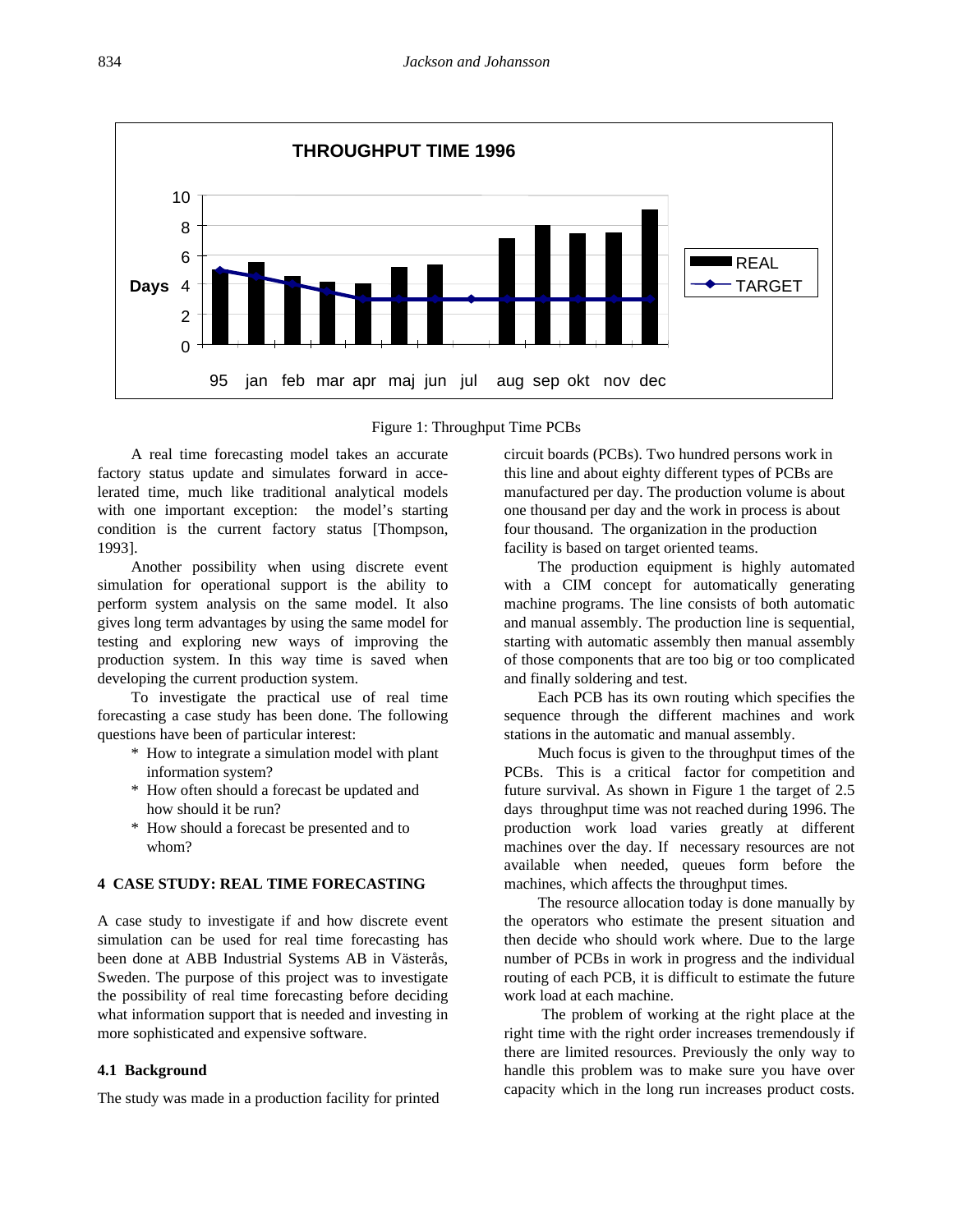

Figure 1: Throughput Time PCBs

A real time forecasting model takes an accurate factory status update and simulates forward in accelerated time, much like traditional analytical models with one important exception: the model's starting condition is the current factory status [Thompson, 1993].

Another possibility when using discrete event simulation for operational support is the ability to perform system analysis on the same model. It also gives long term advantages by using the same model for testing and exploring new ways of improving the production system. In this way time is saved when developing the current production system.

To investigate the practical use of real time forecasting a case study has been done. The following questions have been of particular interest:

- \* How to integrate a simulation model with plant information system?
- \* How often should a forecast be updated and how should it be run?
- \* How should a forecast be presented and to whom?

## **4 CASE STUDY: REAL TIME FORECASTING**

A case study to investigate if and how discrete event simulation can be used for real time forecasting has been done at ABB Industrial Systems AB in Västerås, Sweden. The purpose of this project was to investigate the possibility of real time forecasting before deciding what information support that is needed and investing in more sophisticated and expensive software.

#### **4.1 Background**

The study was made in a production facility for printed

circuit boards (PCBs). Two hundred persons work in this line and about eighty different types of PCBs are manufactured per day. The production volume is about one thousand per day and the work in process is about four thousand. The organization in the production facility is based on target oriented teams.

The production equipment is highly automated with a CIM concept for automatically generating machine programs. The line consists of both automatic and manual assembly. The production line is sequential, starting with automatic assembly then manual assembly of those components that are too big or too complicated and finally soldering and test.

Each PCB has its own routing which specifies the sequence through the different machines and work stations in the automatic and manual assembly.

Much focus is given to the throughput times of the PCBs. This is a critical factor for competition and future survival. As shown in Figure 1 the target of 2.5 days throughput time was not reached during 1996. The production work load varies greatly at different machines over the day. If necessary resources are not available when needed, queues form before the machines, which affects the throughput times.

The resource allocation today is done manually by the operators who estimate the present situation and then decide who should work where. Due to the large number of PCBs in work in progress and the individual routing of each PCB, it is difficult to estimate the future work load at each machine.

 The problem of working at the right place at the right time with the right order increases tremendously if there are limited resources. Previously the only way to handle this problem was to make sure you have over capacity which in the long run increases product costs.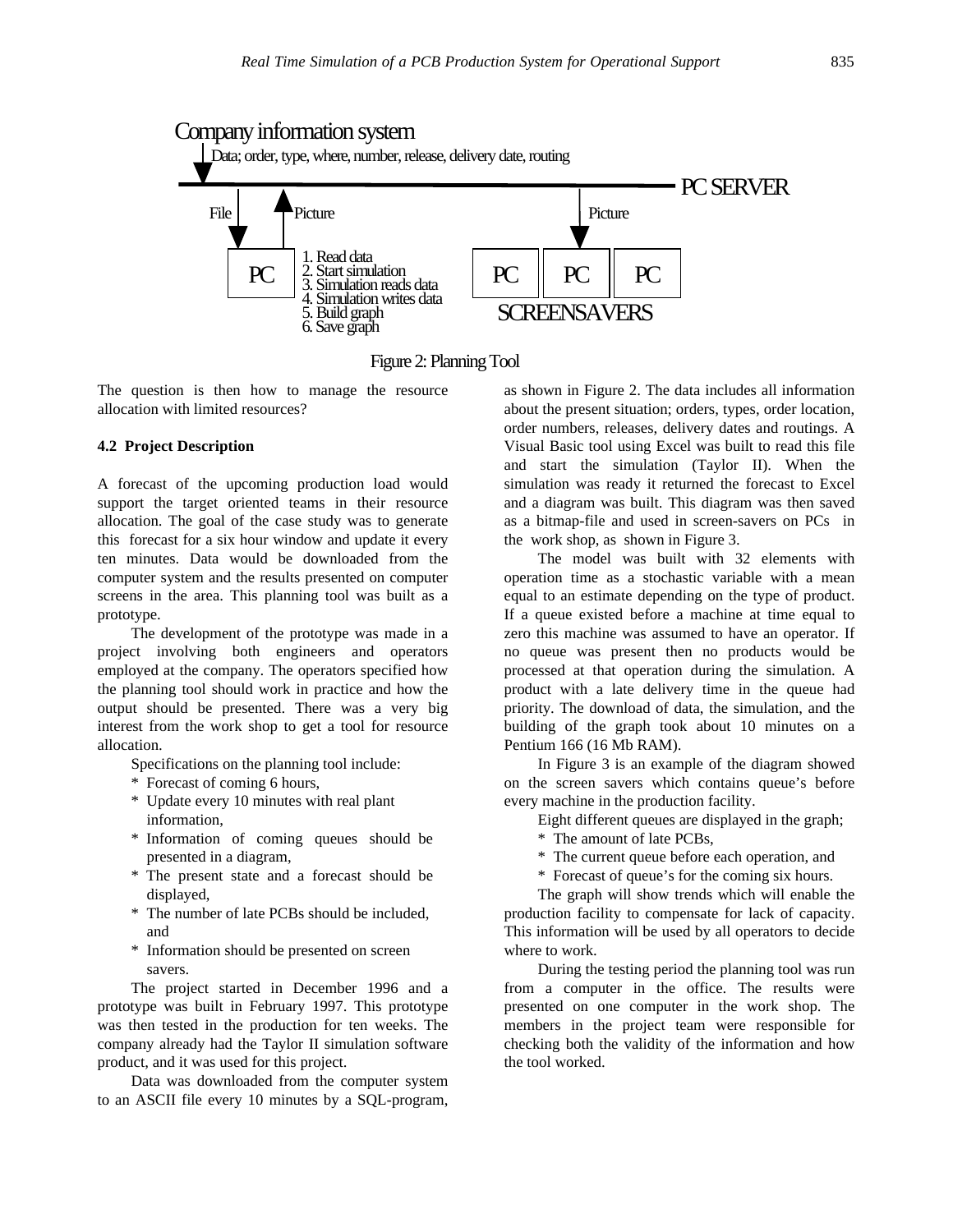

Figure 2: Planning Tool

The question is then how to manage the resource allocation with limited resources?

#### **4.2 Project Description**

A forecast of the upcoming production load would support the target oriented teams in their resource allocation. The goal of the case study was to generate this forecast for a six hour window and update it every ten minutes. Data would be downloaded from the computer system and the results presented on computer screens in the area. This planning tool was built as a prototype.

The development of the prototype was made in a project involving both engineers and operators employed at the company. The operators specified how the planning tool should work in practice and how the output should be presented. There was a very big interest from the work shop to get a tool for resource allocation.

- Specifications on the planning tool include:
- \* Forecast of coming 6 hours,
- \* Update every 10 minutes with real plant information,
- \* Information of coming queues should be presented in a diagram,
- \* The present state and a forecast should be displayed,
- \* The number of late PCBs should be included, and
- \* Information should be presented on screen savers.

The project started in December 1996 and a prototype was built in February 1997. This prototype was then tested in the production for ten weeks. The company already had the Taylor II simulation software product, and it was used for this project.

Data was downloaded from the computer system to an ASCII file every 10 minutes by a SQL-program,

as shown in Figure 2. The data includes all information about the present situation; orders, types, order location, order numbers, releases, delivery dates and routings. A Visual Basic tool using Excel was built to read this file and start the simulation (Taylor II). When the simulation was ready it returned the forecast to Excel and a diagram was built. This diagram was then saved as a bitmap-file and used in screen-savers on PCs in the work shop, as shown in Figure 3.

The model was built with 32 elements with operation time as a stochastic variable with a mean equal to an estimate depending on the type of product. If a queue existed before a machine at time equal to zero this machine was assumed to have an operator. If no queue was present then no products would be processed at that operation during the simulation. A product with a late delivery time in the queue had priority. The download of data, the simulation, and the building of the graph took about 10 minutes on a Pentium 166 (16 Mb RAM).

In Figure 3 is an example of the diagram showed on the screen savers which contains queue's before every machine in the production facility.

Eight different queues are displayed in the graph;

\* The amount of late PCBs,

\* The current queue before each operation, and

\* Forecast of queue's for the coming six hours.

The graph will show trends which will enable the production facility to compensate for lack of capacity. This information will be used by all operators to decide where to work.

During the testing period the planning tool was run from a computer in the office. The results were presented on one computer in the work shop. The members in the project team were responsible for checking both the validity of the information and how the tool worked.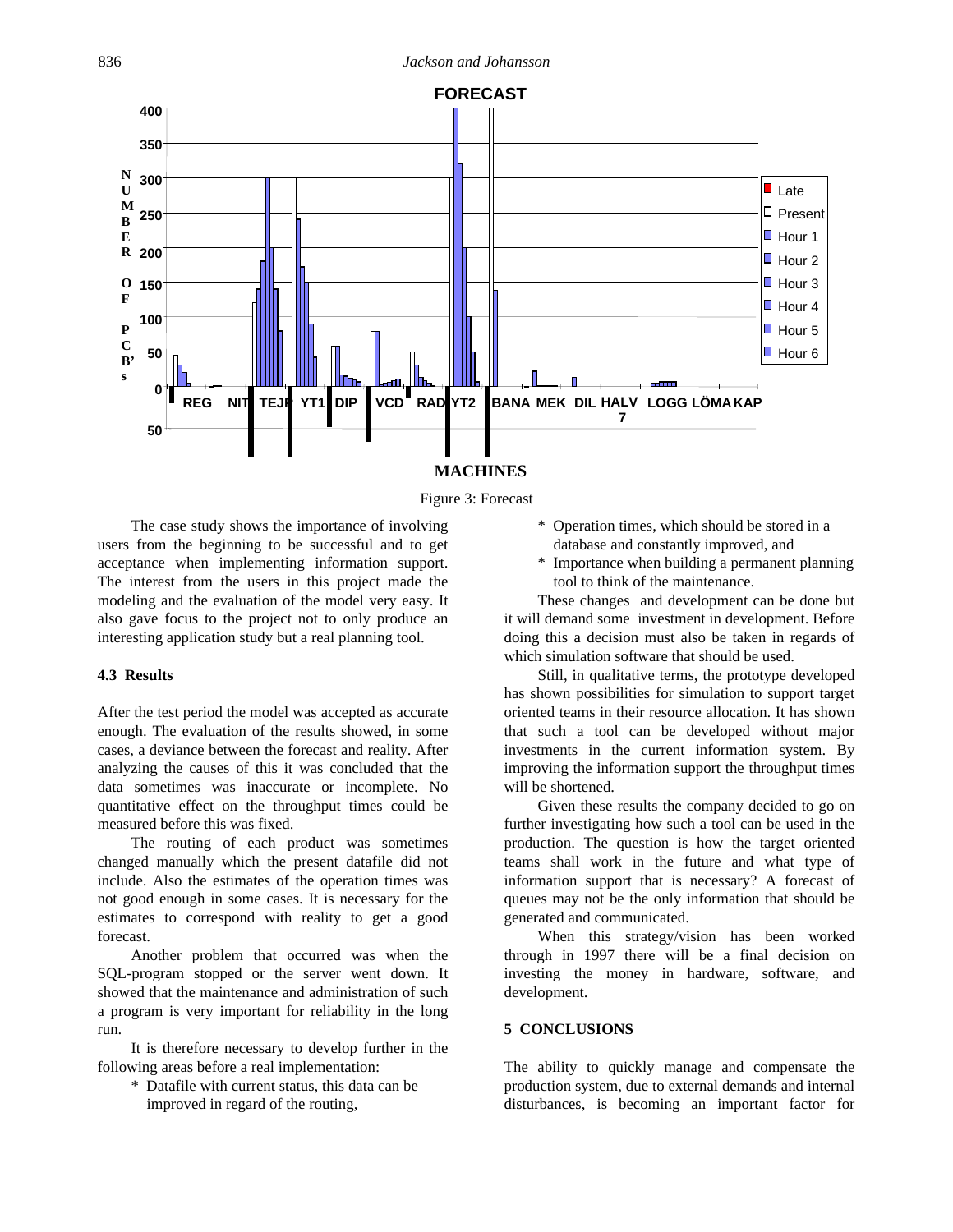

# **MACHINES**

#### Figure 3: Forecast

The case study shows the importance of involving users from the beginning to be successful and to get acceptance when implementing information support. The interest from the users in this project made the modeling and the evaluation of the model very easy. It also gave focus to the project not to only produce an interesting application study but a real planning tool.

## **4.3 Results**

After the test period the model was accepted as accurate enough. The evaluation of the results showed, in some cases, a deviance between the forecast and reality. After analyzing the causes of this it was concluded that the data sometimes was inaccurate or incomplete. No quantitative effect on the throughput times could be measured before this was fixed.

The routing of each product was sometimes changed manually which the present datafile did not include. Also the estimates of the operation times was not good enough in some cases. It is necessary for the estimates to correspond with reality to get a good forecast.

Another problem that occurred was when the SQL-program stopped or the server went down. It showed that the maintenance and administration of such a program is very important for reliability in the long run.

It is therefore necessary to develop further in the following areas before a real implementation:

\* Datafile with current status, this data can be improved in regard of the routing,

- \* Operation times, which should be stored in a database and constantly improved, and
- \* Importance when building a permanent planning tool to think of the maintenance.

These changes and development can be done but it will demand some investment in development. Before doing this a decision must also be taken in regards of which simulation software that should be used.

Still, in qualitative terms, the prototype developed has shown possibilities for simulation to support target oriented teams in their resource allocation. It has shown that such a tool can be developed without major investments in the current information system. By improving the information support the throughput times will be shortened.

Given these results the company decided to go on further investigating how such a tool can be used in the production. The question is how the target oriented teams shall work in the future and what type of information support that is necessary? A forecast of queues may not be the only information that should be generated and communicated.

When this strategy/vision has been worked through in 1997 there will be a final decision on investing the money in hardware, software, and development.

#### **5 CONCLUSIONS**

The ability to quickly manage and compensate the production system, due to external demands and internal disturbances, is becoming an important factor for